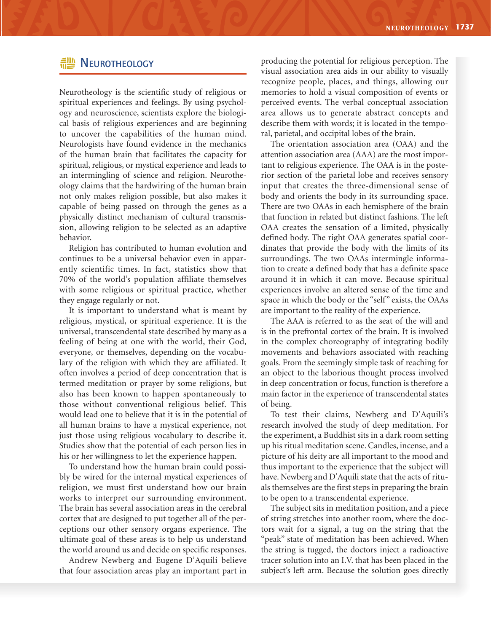## **HE NEUROTHEOLOGY**

Neurotheology is the scientific study of religious or spiritual experiences and feelings. By using psychology and neuroscience, scientists explore the biological basis of religious experiences and are beginning to uncover the capabilities of the human mind. Neurologists have found evidence in the mechanics of the human brain that facilitates the capacity for spiritual, religious, or mystical experience and leads to an intermingling of science and religion. Neurotheology claims that the hardwiring of the human brain not only makes religion possible, but also makes it capable of being passed on through the genes as a physically distinct mechanism of cultural transmission, allowing religion to be selected as an adaptive behavior.

Religion has contributed to human evolution and continues to be a universal behavior even in apparently scientific times. In fact, statistics show that 70% of the world's population affiliate themselves with some religious or spiritual practice, whether they engage regularly or not.

It is important to understand what is meant by religious, mystical, or spiritual experience. It is the universal, transcendental state described by many as a feeling of being at one with the world, their God, everyone, or themselves, depending on the vocabulary of the religion with which they are affiliated. It often involves a period of deep concentration that is termed meditation or prayer by some religions, but also has been known to happen spontaneously to those without conventional religious belief. This would lead one to believe that it is in the potential of all human brains to have a mystical experience, not just those using religious vocabulary to describe it. Studies show that the potential of each person lies in his or her willingness to let the experience happen.

To understand how the human brain could possibly be wired for the internal mystical experiences of religion, we must first understand how our brain works to interpret our surrounding environment. The brain has several association areas in the cerebral cortex that are designed to put together all of the perceptions our other sensory organs experience. The ultimate goal of these areas is to help us understand the world around us and decide on specific responses.

Andrew Newberg and Eugene D'Aquili believe that four association areas play an important part in producing the potential for religious perception. The visual association area aids in our ability to visually recognize people, places, and things, allowing our memories to hold a visual composition of events or perceived events. The verbal conceptual association area allows us to generate abstract concepts and describe them with words; it is located in the temporal, parietal, and occipital lobes of the brain.

The orientation association area (OAA) and the attention association area (AAA) are the most important to religious experience. The OAA is in the posterior section of the parietal lobe and receives sensory input that creates the three-dimensional sense of body and orients the body in its surrounding space. There are two OAAs in each hemisphere of the brain that function in related but distinct fashions. The left OAA creates the sensation of a limited, physically defined body. The right OAA generates spatial coordinates that provide the body with the limits of its surroundings. The two OAAs intermingle information to create a defined body that has a definite space around it in which it can move. Because spiritual experiences involve an altered sense of the time and space in which the body or the "self" exists, the OAAs are important to the reality of the experience.

The AAA is referred to as the seat of the will and is in the prefrontal cortex of the brain. It is involved in the complex choreography of integrating bodily movements and behaviors associated with reaching goals. From the seemingly simple task of reaching for an object to the laborious thought process involved in deep concentration or focus, function is therefore a main factor in the experience of transcendental states of being.

To test their claims, Newberg and D'Aquili's research involved the study of deep meditation. For the experiment, a Buddhist sits in a dark room setting up his ritual meditation scene. Candles, incense, and a picture of his deity are all important to the mood and thus important to the experience that the subject will have. Newberg and D'Aquili state that the acts of rituals themselves are the first steps in preparing the brain to be open to a transcendental experience.

The subject sits in meditation position, and a piece of string stretches into another room, where the doctors wait for a signal, a tug on the string that the "peak" state of meditation has been achieved. When the string is tugged, the doctors inject a radioactive tracer solution into an I.V. that has been placed in the subject's left arm. Because the solution goes directly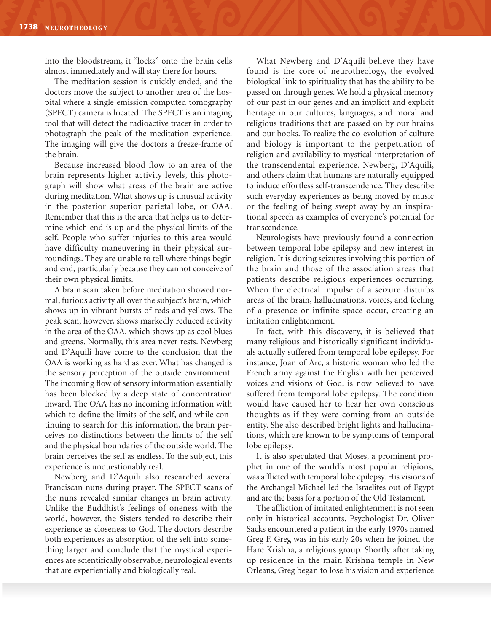into the bloodstream, it "locks" onto the brain cells almost immediately and will stay there for hours.

The meditation session is quickly ended, and the doctors move the subject to another area of the hospital where a single emission computed tomography (SPECT) camera is located. The SPECT is an imaging tool that will detect the radioactive tracer in order to photograph the peak of the meditation experience. The imaging will give the doctors a freeze-frame of the brain.

Because increased blood flow to an area of the brain represents higher activity levels, this photograph will show what areas of the brain are active during meditation. What shows up is unusual activity in the posterior superior parietal lobe, or OAA. Remember that this is the area that helps us to determine which end is up and the physical limits of the self. People who suffer injuries to this area would have difficulty maneuvering in their physical surroundings. They are unable to tell where things begin and end, particularly because they cannot conceive of their own physical limits.

A brain scan taken before meditation showed normal, furious activity all over the subject's brain, which shows up in vibrant bursts of reds and yellows. The peak scan, however, shows markedly reduced activity in the area of the OAA, which shows up as cool blues and greens. Normally, this area never rests. Newberg and D'Aquili have come to the conclusion that the OAA is working as hard as ever. What has changed is the sensory perception of the outside environment. The incoming flow of sensory information essentially has been blocked by a deep state of concentration inward. The OAA has no incoming information with which to define the limits of the self, and while continuing to search for this information, the brain perceives no distinctions between the limits of the self and the physical boundaries of the outside world. The brain perceives the self as endless. To the subject, this experience is unquestionably real.

Newberg and D'Aquili also researched several Franciscan nuns during prayer. The SPECT scans of the nuns revealed similar changes in brain activity. Unlike the Buddhist's feelings of oneness with the world, however, the Sisters tended to describe their experience as closeness to God. The doctors describe both experiences as absorption of the self into something larger and conclude that the mystical experiences are scientifically observable, neurological events that are experientially and biologically real.

What Newberg and D'Aquili believe they have found is the core of neurotheology, the evolved biological link to spirituality that has the ability to be passed on through genes. We hold a physical memory of our past in our genes and an implicit and explicit heritage in our cultures, languages, and moral and religious traditions that are passed on by our brains and our books. To realize the co-evolution of culture and biology is important to the perpetuation of religion and availability to mystical interpretation of the transcendental experience. Newberg, D'Aquili, and others claim that humans are naturally equipped to induce effortless self-transcendence. They describe such everyday experiences as being moved by music or the feeling of being swept away by an inspirational speech as examples of everyone's potential for transcendence.

Neurologists have previously found a connection between temporal lobe epilepsy and new interest in religion. It is during seizures involving this portion of the brain and those of the association areas that patients describe religious experiences occurring. When the electrical impulse of a seizure disturbs areas of the brain, hallucinations, voices, and feeling of a presence or infinite space occur, creating an imitation enlightenment.

In fact, with this discovery, it is believed that many religious and historically significant individuals actually suffered from temporal lobe epilepsy. For instance, Joan of Arc, a historic woman who led the French army against the English with her perceived voices and visions of God, is now believed to have suffered from temporal lobe epilepsy. The condition would have caused her to hear her own conscious thoughts as if they were coming from an outside entity. She also described bright lights and hallucinations, which are known to be symptoms of temporal lobe epilepsy.

It is also speculated that Moses, a prominent prophet in one of the world's most popular religions, was afflicted with temporal lobe epilepsy. His visions of the Archangel Michael led the Israelites out of Egypt and are the basis for a portion of the Old Testament.

The affliction of imitated enlightenment is not seen only in historical accounts. Psychologist Dr. Oliver Sacks encountered a patient in the early 1970s named Greg F. Greg was in his early 20s when he joined the Hare Krishna, a religious group. Shortly after taking up residence in the main Krishna temple in New Orleans, Greg began to lose his vision and experience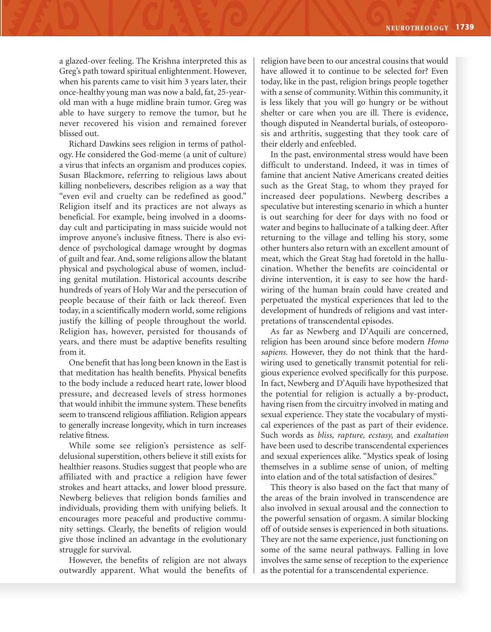a glazed-over feeling. The Krishna interpreted this as Greg's path toward spiritual enlightenment. However, when his parents came to visit him 3 years later, their once-healthy young man was now a bald, fat, 25-yearold man with a huge midline brain tumor. Greg was able to have surgery to remove the tumor, but he never recovered his vision and remained forever blissed out.

Richard Dawkins sees religion in terms of pathology. He considered the God-meme (a unit of culture) a virus that infects an organism and produces copies. Susan Blackmore, referring to religious laws about killing nonbelievers, describes religion as a way that "even evil and cruelty can be redefined as good." Religion itself and its practices are not always as beneficial. For example, being involved in a doomsday cult and participating in mass suicide would not improve anyone's inclusive fitness. There is also evidence of psychological damage wrought by dogmas of guilt and fear. And, some religions allow the blatant physical and psychological abuse of women, including genital mutilation. Historical accounts describe hundreds of years of Holy War and the persecution of people because of their faith or lack thereof. Even today, in a scientifically modern world, some religions justify the killing of people throughout the world. Religion has, however, persisted for thousands of years, and there must be adaptive benefits resulting from it.

One benefit that has long been known in the East is that meditation has health benefits. Physical benefits to the body include a reduced heart rate, lower blood pressure, and decreased levels of stress hormones that would inhibit the immune system. These benefits seem to transcend religious affiliation. Religion appears to generally increase longevity, which in turn increases relative fitness.

While some see religion's persistence as selfdelusional superstition, others believe it still exists for healthier reasons. Studies suggest that people who are affiliated with and practice a religion have fewer strokes and heart attacks, and lower blood pressure. Newberg believes that religion bonds families and individuals, providing them with unifying beliefs. It encourages more peaceful and productive community settings. Clearly, the benefits of religion would give those inclined an advantage in the evolutionary struggle for survival.

However, the benefits of religion are not always outwardly apparent. What would the benefits of religion have been to our ancestral cousins that would have allowed it to continue to be selected for? Even today, like in the past, religion brings people together with a sense of community. Within this community, it is less likely that you will go hungry or be without shelter or care when you are ill. There is evidence, though disputed in Neandertal burials, of osteoporosis and arthritis, suggesting that they took care of their elderly and enfeebled.

In the past, environmental stress would have been difficult to understand. Indeed, it was in times of famine that ancient Native Americans created deities such as the Great Stag, to whom they prayed for increased deer populations. Newberg describes a speculative but interesting scenario in which a hunter is out searching for deer for days with no food or water and begins to hallucinate of a talking deer. After returning to the village and telling his story, some other hunters also return with an excellent amount of meat, which the Great Stag had foretold in the hallucination. Whether the benefits are coincidental or divine intervention, it is easy to see how the hardwiring of the human brain could have created and perpetuated the mystical experiences that led to the development of hundreds of religions and vast interpretations of transcendental episodes.

As far as Newberg and D'Aquili are concerned, religion has been around since before modern *Homo sapiens.* However, they do not think that the hardwiring used to genetically transmit potential for religious experience evolved specifically for this purpose. In fact, Newberg and D'Aquili have hypothesized that the potential for religion is actually a by-product, having risen from the circuitry involved in mating and sexual experience. They state the vocabulary of mystical experiences of the past as part of their evidence. Such words as *bliss, rapture, ecstasy,* and *exaltation* have been used to describe transcendental experiences and sexual experiences alike. "Mystics speak of losing themselves in a sublime sense of union, of melting into elation and of the total satisfaction of desires."

This theory is also based on the fact that many of the areas of the brain involved in transcendence are also involved in sexual arousal and the connection to the powerful sensation of orgasm. A similar blocking off of outside senses is experienced in both situations. They are not the same experience, just functioning on some of the same neural pathways. Falling in love involves the same sense of reception to the experience as the potential for a transcendental experience.